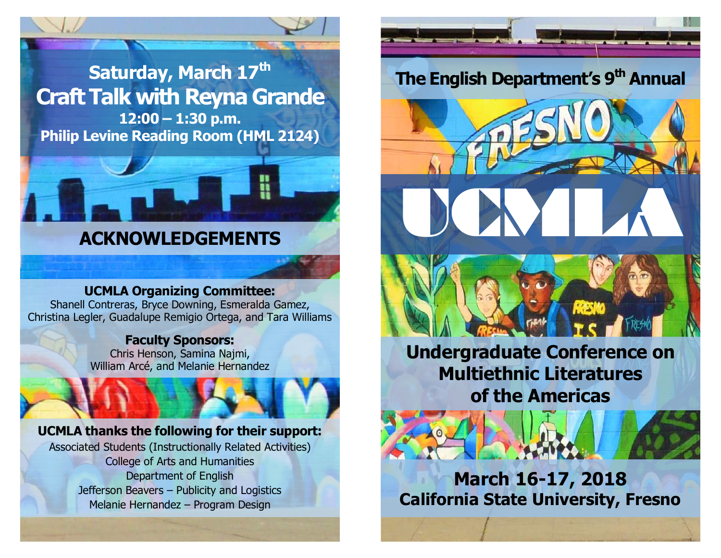



# **ACKNOWLEDGEMENTS**

## **UCMLA Organizing Committee:**

Shanell Contreras, Bryce Downing, Esmeralda Gamez, Christina Legler, Guadalupe Remigio Ortega, and Tara Williams

### **Faculty Sponsors:**

Chris Henson, Samina Najmi, William Arcé, and Melanie Hernandez

## **UCMLA thanks the following for their support:**

Associated Students (Instructionally Related Activities) College of Arts and Humanities Department of English Jefferson Beavers – Publicity and Logistics Melanie Hernandez – Program Design